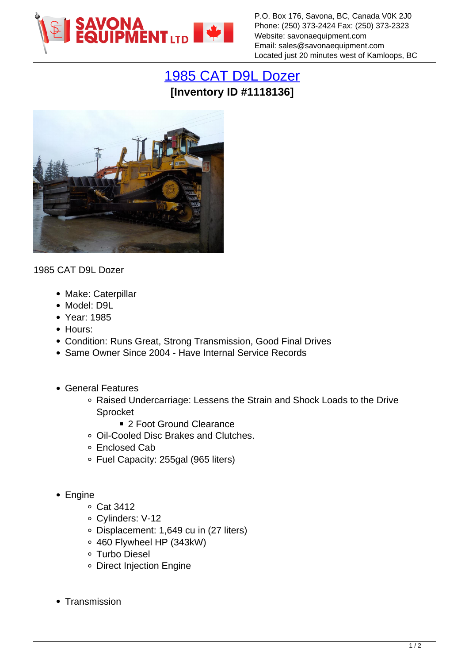

P.O. Box 176, Savona, BC, Canada V0K 2J0 Phone: (250) 373-2424 Fax: (250) 373-2323 Website: savonaequipment.com Email: sales@savonaequipment.com Located just 20 minutes west of Kamloops, BC

## [1985 CAT D9L Dozer](https://www.savonaequipment.com/en/1985-cat-d9l-dozer-p1118136) **[Inventory ID #1118136]**



1985 CAT D9L Dozer

- Make: Caterpillar
- Model: D9L
- Year: 1985
- Hours:
- Condition: Runs Great, Strong Transmission, Good Final Drives
- Same Owner Since 2004 Have Internal Service Records
- General Features
	- Raised Undercarriage: Lessens the Strain and Shock Loads to the Drive Sprocket
		- 2 Foot Ground Clearance
	- Oil-Cooled Disc Brakes and Clutches.
	- Enclosed Cab
	- Fuel Capacity: 255gal (965 liters)
- Engine
	- Cat 3412
	- Cylinders: V-12
	- Displacement: 1,649 cu in (27 liters)
	- 460 Flywheel HP (343kW)
	- Turbo Diesel
	- Direct Injection Engine
- Transmission